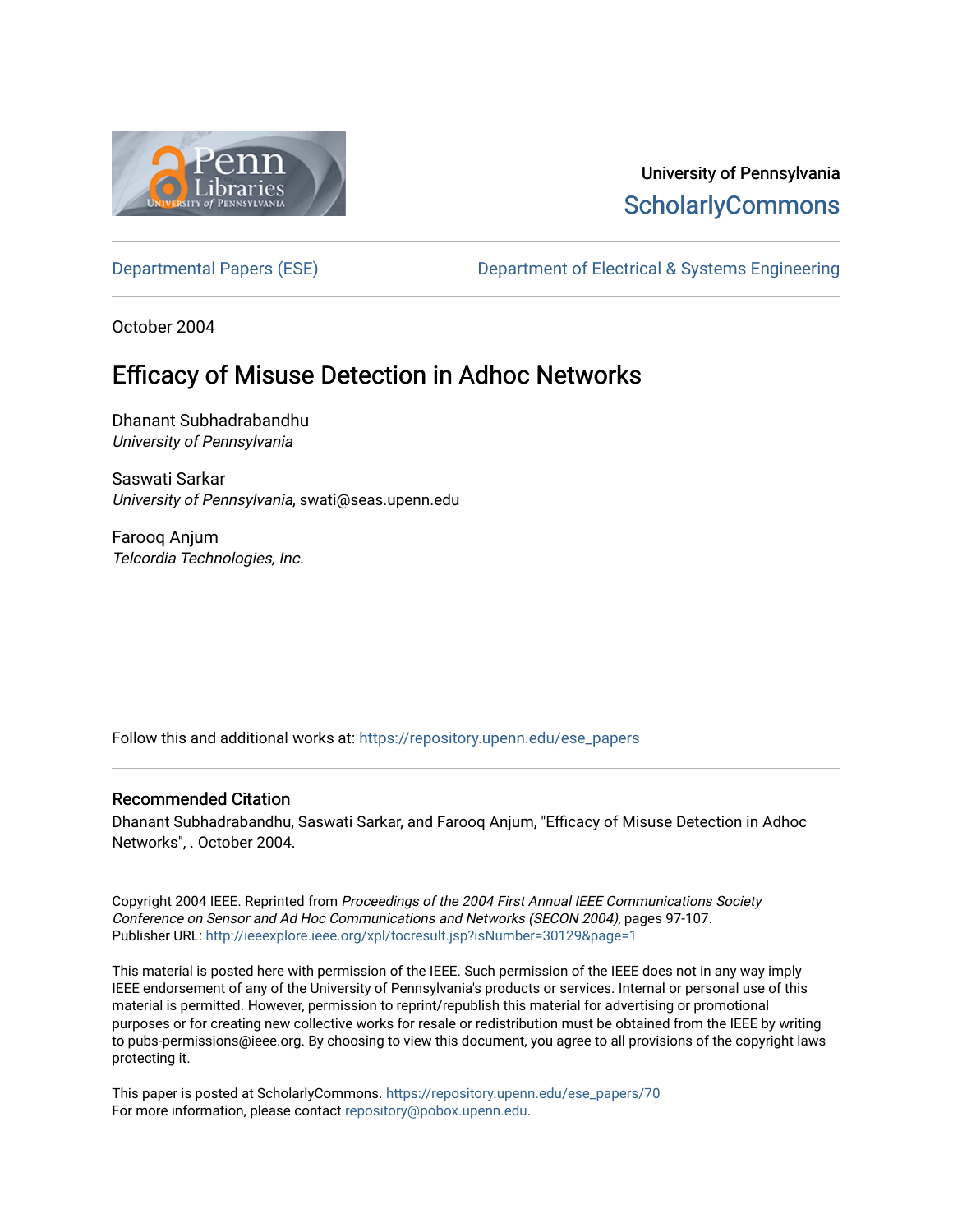

# University of Pennsylvania **ScholarlyCommons**

[Departmental Papers \(ESE\)](https://repository.upenn.edu/ese_papers) [Department of Electrical & Systems Engineering](https://repository.upenn.edu/ese) 

October 2004

# Efficacy of Misuse Detection in Adhoc Networks

Dhanant Subhadrabandhu University of Pennsylvania

Saswati Sarkar University of Pennsylvania, swati@seas.upenn.edu

Farooq Anjum Telcordia Technologies, Inc.

Follow this and additional works at: [https://repository.upenn.edu/ese\\_papers](https://repository.upenn.edu/ese_papers?utm_source=repository.upenn.edu%2Fese_papers%2F70&utm_medium=PDF&utm_campaign=PDFCoverPages)

#### Recommended Citation

Dhanant Subhadrabandhu, Saswati Sarkar, and Farooq Anjum, "Efficacy of Misuse Detection in Adhoc Networks", . October 2004.

Copyright 2004 IEEE. Reprinted from Proceedings of the 2004 First Annual IEEE Communications Society Conference on Sensor and Ad Hoc Communications and Networks (SECON 2004), pages 97-107. Publisher URL:<http://ieeexplore.ieee.org/xpl/tocresult.jsp?isNumber=30129&page=1>

This material is posted here with permission of the IEEE. Such permission of the IEEE does not in any way imply IEEE endorsement of any of the University of Pennsylvania's products or services. Internal or personal use of this material is permitted. However, permission to reprint/republish this material for advertising or promotional purposes or for creating new collective works for resale or redistribution must be obtained from the IEEE by writing to pubs-permissions@ieee.org. By choosing to view this document, you agree to all provisions of the copyright laws protecting it.

This paper is posted at ScholarlyCommons. [https://repository.upenn.edu/ese\\_papers/70](https://repository.upenn.edu/ese_papers/70) For more information, please contact [repository@pobox.upenn.edu.](mailto:repository@pobox.upenn.edu)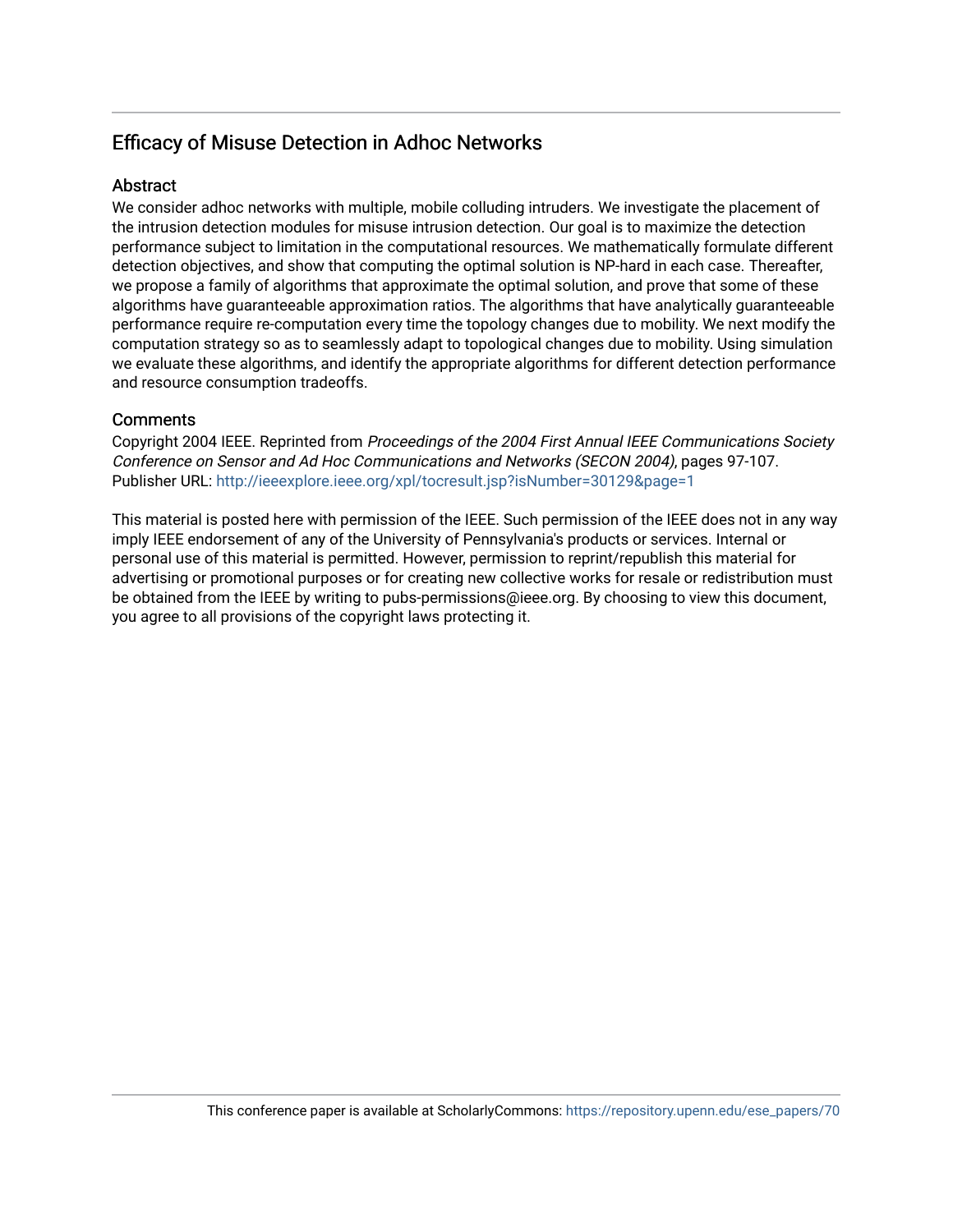## Efficacy of Misuse Detection in Adhoc Networks

## Abstract

We consider adhoc networks with multiple, mobile colluding intruders. We investigate the placement of the intrusion detection modules for misuse intrusion detection. Our goal is to maximize the detection performance subject to limitation in the computational resources. We mathematically formulate different detection objectives, and show that computing the optimal solution is NP-hard in each case. Thereafter, we propose a family of algorithms that approximate the optimal solution, and prove that some of these algorithms have guaranteeable approximation ratios. The algorithms that have analytically guaranteeable performance require re-computation every time the topology changes due to mobility. We next modify the computation strategy so as to seamlessly adapt to topological changes due to mobility. Using simulation we evaluate these algorithms, and identify the appropriate algorithms for different detection performance and resource consumption tradeoffs.

## **Comments**

Copyright 2004 IEEE. Reprinted from Proceedings of the 2004 First Annual IEEE Communications Society Conference on Sensor and Ad Hoc Communications and Networks (SECON 2004), pages 97-107. Publisher URL: <http://ieeexplore.ieee.org/xpl/tocresult.jsp?isNumber=30129&page=1>

This material is posted here with permission of the IEEE. Such permission of the IEEE does not in any way imply IEEE endorsement of any of the University of Pennsylvania's products or services. Internal or personal use of this material is permitted. However, permission to reprint/republish this material for advertising or promotional purposes or for creating new collective works for resale or redistribution must be obtained from the IEEE by writing to pubs-permissions@ieee.org. By choosing to view this document, you agree to all provisions of the copyright laws protecting it.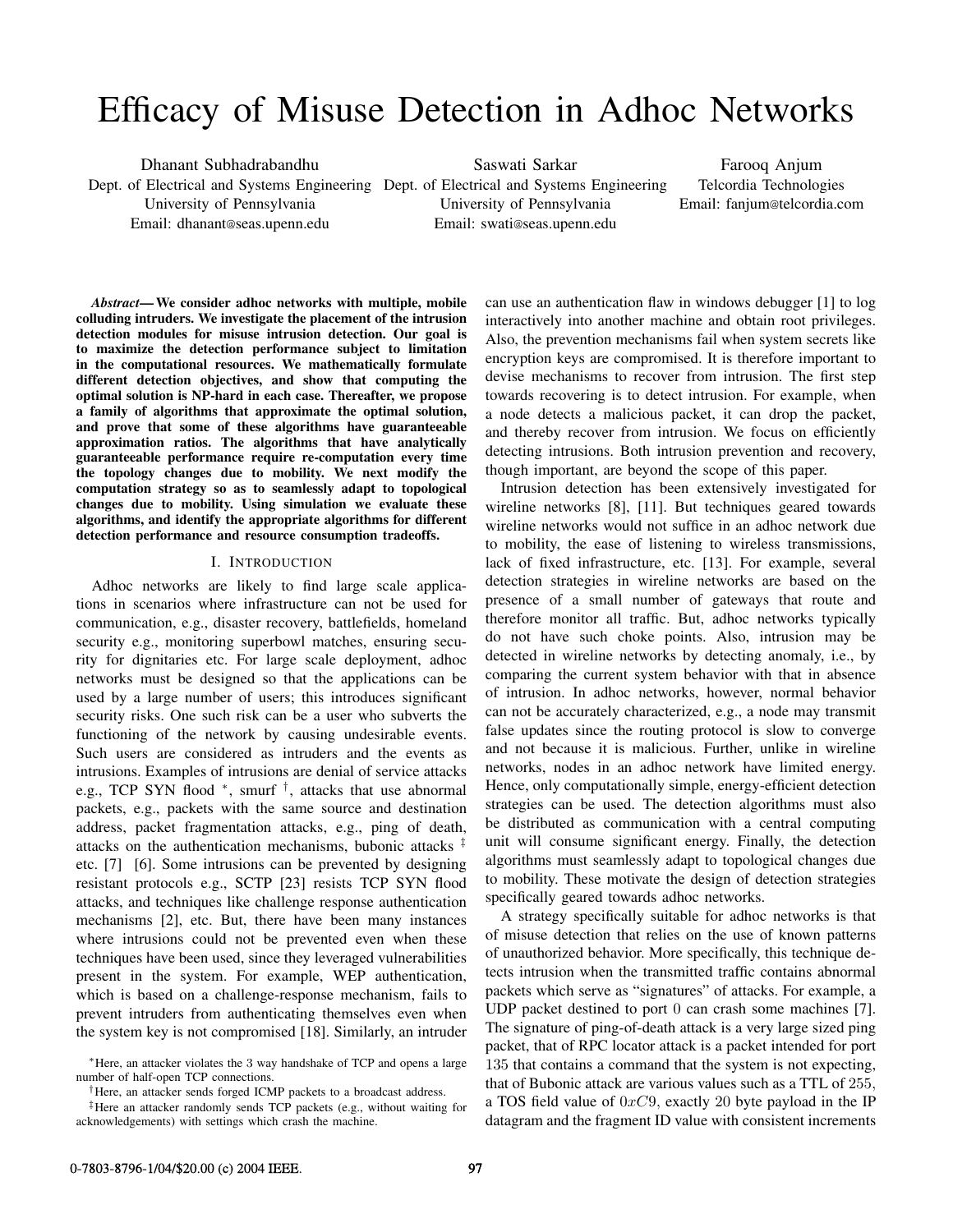# Efficacy of Misuse Detection in Adhoc Networks

Dhanant Subhadrabandhu Dept. of Electrical and Systems Engineering Dept. of Electrical and Systems Engineering University of Pennsylvania Email: dhanant@seas.upenn.edu

Saswati Sarkar University of Pennsylvania Email: swati@seas.upenn.edu

Farooq Anjum Telcordia Technologies Email: fanjum@telcordia.com

*Abstract***—We consider adhoc networks with multiple, mobile colluding intruders. We investigate the placement of the intrusion detection modules for misuse intrusion detection. Our goal is to maximize the detection performance subject to limitation in the computational resources. We mathematically formulate different detection objectives, and show that computing the optimal solution is NP-hard in each case. Thereafter, we propose a family of algorithms that approximate the optimal solution, and prove that some of these algorithms have guaranteeable approximation ratios. The algorithms that have analytically guaranteeable performance require re-computation every time the topology changes due to mobility. We next modify the computation strategy so as to seamlessly adapt to topological changes due to mobility. Using simulation we evaluate these algorithms, and identify the appropriate algorithms for different detection performance and resource consumption tradeoffs.**

#### I. INTRODUCTION

Adhoc networks are likely to find large scale applications in scenarios where infrastructure can not be used for communication, e.g., disaster recovery, battlefields, homeland security e.g., monitoring superbowl matches, ensuring security for dignitaries etc. For large scale deployment, adhoc networks must be designed so that the applications can be used by a large number of users; this introduces significant security risks. One such risk can be a user who subverts the functioning of the network by causing undesirable events. Such users are considered as intruders and the events as intrusions. Examples of intrusions are denial of service attacks e.g., TCP SYN flood <sup>∗</sup>, smurf †, attacks that use abnormal packets, e.g., packets with the same source and destination address, packet fragmentation attacks, e.g., ping of death, attacks on the authentication mechanisms, bubonic attacks ‡ etc. [7] [6]. Some intrusions can be prevented by designing resistant protocols e.g., SCTP [23] resists TCP SYN flood attacks, and techniques like challenge response authentication mechanisms [2], etc. But, there have been many instances where intrusions could not be prevented even when these techniques have been used, since they leveraged vulnerabilities present in the system. For example, WEP authentication, which is based on a challenge-response mechanism, fails to prevent intruders from authenticating themselves even when the system key is not compromised [18]. Similarly, an intruder

can use an authentication flaw in windows debugger [1] to log interactively into another machine and obtain root privileges. Also, the prevention mechanisms fail when system secrets like encryption keys are compromised. It is therefore important to devise mechanisms to recover from intrusion. The first step towards recovering is to detect intrusion. For example, when a node detects a malicious packet, it can drop the packet, and thereby recover from intrusion. We focus on efficiently detecting intrusions. Both intrusion prevention and recovery, though important, are beyond the scope of this paper.

Intrusion detection has been extensively investigated for wireline networks [8], [11]. But techniques geared towards wireline networks would not suffice in an adhoc network due to mobility, the ease of listening to wireless transmissions, lack of fixed infrastructure, etc. [13]. For example, several detection strategies in wireline networks are based on the presence of a small number of gateways that route and therefore monitor all traffic. But, adhoc networks typically do not have such choke points. Also, intrusion may be detected in wireline networks by detecting anomaly, i.e., by comparing the current system behavior with that in absence of intrusion. In adhoc networks, however, normal behavior can not be accurately characterized, e.g., a node may transmit false updates since the routing protocol is slow to converge and not because it is malicious. Further, unlike in wireline networks, nodes in an adhoc network have limited energy. Hence, only computationally simple, energy-efficient detection strategies can be used. The detection algorithms must also be distributed as communication with a central computing unit will consume significant energy. Finally, the detection algorithms must seamlessly adapt to topological changes due to mobility. These motivate the design of detection strategies specifically geared towards adhoc networks.

A strategy specifically suitable for adhoc networks is that of misuse detection that relies on the use of known patterns of unauthorized behavior. More specifically, this technique detects intrusion when the transmitted traffic contains abnormal packets which serve as "signatures" of attacks. For example, a UDP packet destined to port 0 can crash some machines [7]. The signature of ping-of-death attack is a very large sized ping packet, that of RPC locator attack is a packet intended for port 135 that contains a command that the system is not expecting, that of Bubonic attack are various values such as a TTL of 255, a TOS field value of  $0xC9$ , exactly 20 byte payload in the IP datagram and the fragment ID value with consistent increments

<sup>∗</sup>Here, an attacker violates the 3 way handshake of TCP and opens a large number of half-open TCP connections.

<sup>†</sup>Here, an attacker sends forged ICMP packets to a broadcast address.

<sup>‡</sup>Here an attacker randomly sends TCP packets (e.g., without waiting for acknowledgements) with settings which crash the machine.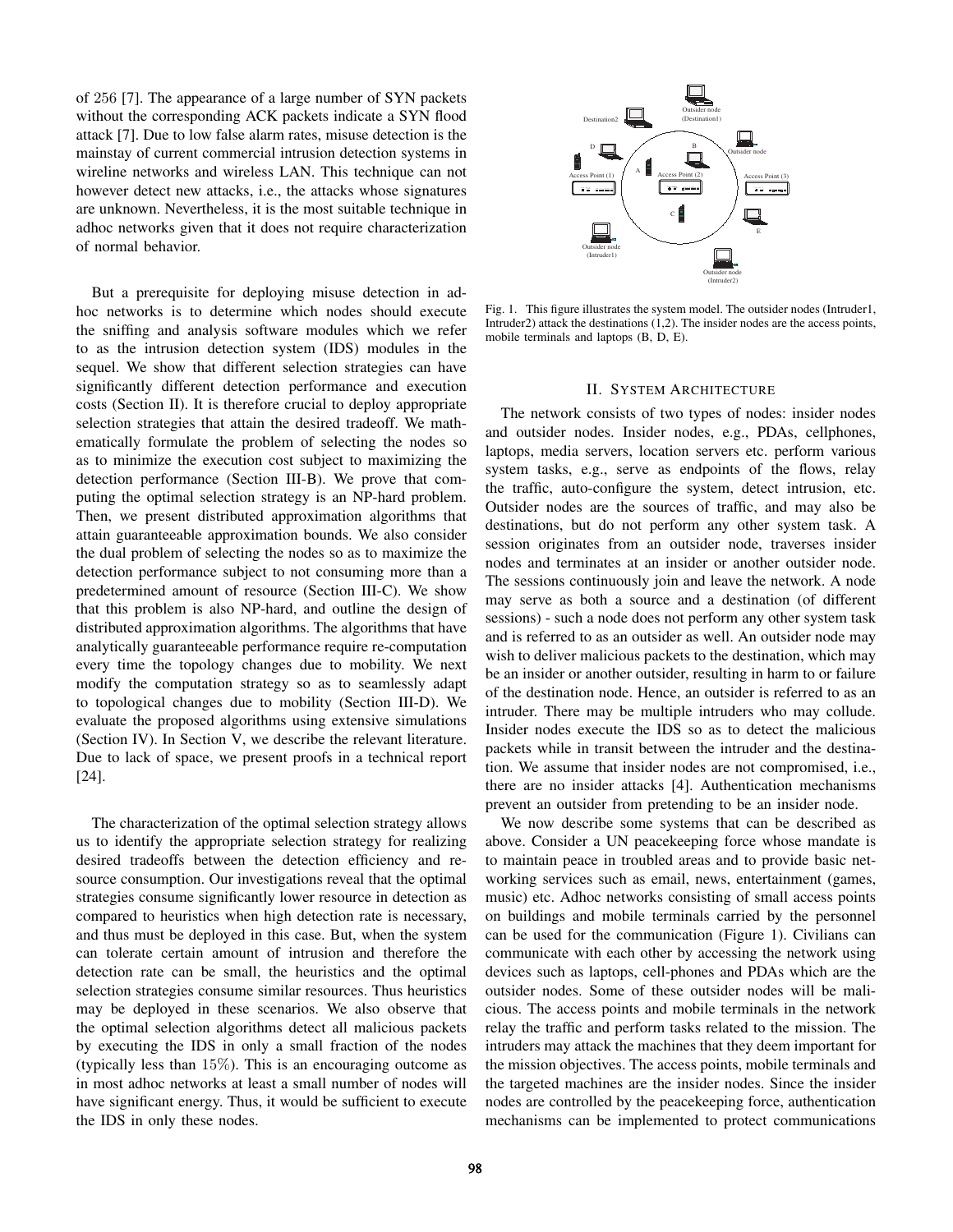of 256 [7]. The appearance of a large number of SYN packets without the corresponding ACK packets indicate a SYN flood attack [7]. Due to low false alarm rates, misuse detection is the mainstay of current commercial intrusion detection systems in wireline networks and wireless LAN. This technique can not however detect new attacks, i.e., the attacks whose signatures are unknown. Nevertheless, it is the most suitable technique in adhoc networks given that it does not require characterization of normal behavior.

But a prerequisite for deploying misuse detection in adhoc networks is to determine which nodes should execute the sniffing and analysis software modules which we refer to as the intrusion detection system (IDS) modules in the sequel. We show that different selection strategies can have significantly different detection performance and execution costs (Section II). It is therefore crucial to deploy appropriate selection strategies that attain the desired tradeoff. We mathematically formulate the problem of selecting the nodes so as to minimize the execution cost subject to maximizing the detection performance (Section III-B). We prove that computing the optimal selection strategy is an NP-hard problem. Then, we present distributed approximation algorithms that attain guaranteeable approximation bounds. We also consider the dual problem of selecting the nodes so as to maximize the detection performance subject to not consuming more than a predetermined amount of resource (Section III-C). We show that this problem is also NP-hard, and outline the design of distributed approximation algorithms. The algorithms that have analytically guaranteeable performance require re-computation every time the topology changes due to mobility. We next modify the computation strategy so as to seamlessly adapt to topological changes due to mobility (Section III-D). We evaluate the proposed algorithms using extensive simulations (Section IV). In Section V, we describe the relevant literature. Due to lack of space, we present proofs in a technical report [24].

The characterization of the optimal selection strategy allows us to identify the appropriate selection strategy for realizing desired tradeoffs between the detection efficiency and resource consumption. Our investigations reveal that the optimal strategies consume significantly lower resource in detection as compared to heuristics when high detection rate is necessary, and thus must be deployed in this case. But, when the system can tolerate certain amount of intrusion and therefore the detection rate can be small, the heuristics and the optimal selection strategies consume similar resources. Thus heuristics may be deployed in these scenarios. We also observe that the optimal selection algorithms detect all malicious packets by executing the IDS in only a small fraction of the nodes (typically less than 15%). This is an encouraging outcome as in most adhoc networks at least a small number of nodes will have significant energy. Thus, it would be sufficient to execute the IDS in only these nodes.



Fig. 1. This figure illustrates the system model. The outsider nodes (Intruder1, Intruder2) attack the destinations (1,2). The insider nodes are the access points, mobile terminals and laptops (B, D, E).

#### II. SYSTEM ARCHITECTURE

The network consists of two types of nodes: insider nodes and outsider nodes. Insider nodes, e.g., PDAs, cellphones, laptops, media servers, location servers etc. perform various system tasks, e.g., serve as endpoints of the flows, relay the traffic, auto-configure the system, detect intrusion, etc. Outsider nodes are the sources of traffic, and may also be destinations, but do not perform any other system task. A session originates from an outsider node, traverses insider nodes and terminates at an insider or another outsider node. The sessions continuously join and leave the network. A node may serve as both a source and a destination (of different sessions) - such a node does not perform any other system task and is referred to as an outsider as well. An outsider node may wish to deliver malicious packets to the destination, which may be an insider or another outsider, resulting in harm to or failure of the destination node. Hence, an outsider is referred to as an intruder. There may be multiple intruders who may collude. Insider nodes execute the IDS so as to detect the malicious packets while in transit between the intruder and the destination. We assume that insider nodes are not compromised, i.e., there are no insider attacks [4]. Authentication mechanisms prevent an outsider from pretending to be an insider node.

We now describe some systems that can be described as above. Consider a UN peacekeeping force whose mandate is to maintain peace in troubled areas and to provide basic networking services such as email, news, entertainment (games, music) etc. Adhoc networks consisting of small access points on buildings and mobile terminals carried by the personnel can be used for the communication (Figure 1). Civilians can communicate with each other by accessing the network using devices such as laptops, cell-phones and PDAs which are the outsider nodes. Some of these outsider nodes will be malicious. The access points and mobile terminals in the network relay the traffic and perform tasks related to the mission. The intruders may attack the machines that they deem important for the mission objectives. The access points, mobile terminals and the targeted machines are the insider nodes. Since the insider nodes are controlled by the peacekeeping force, authentication mechanisms can be implemented to protect communications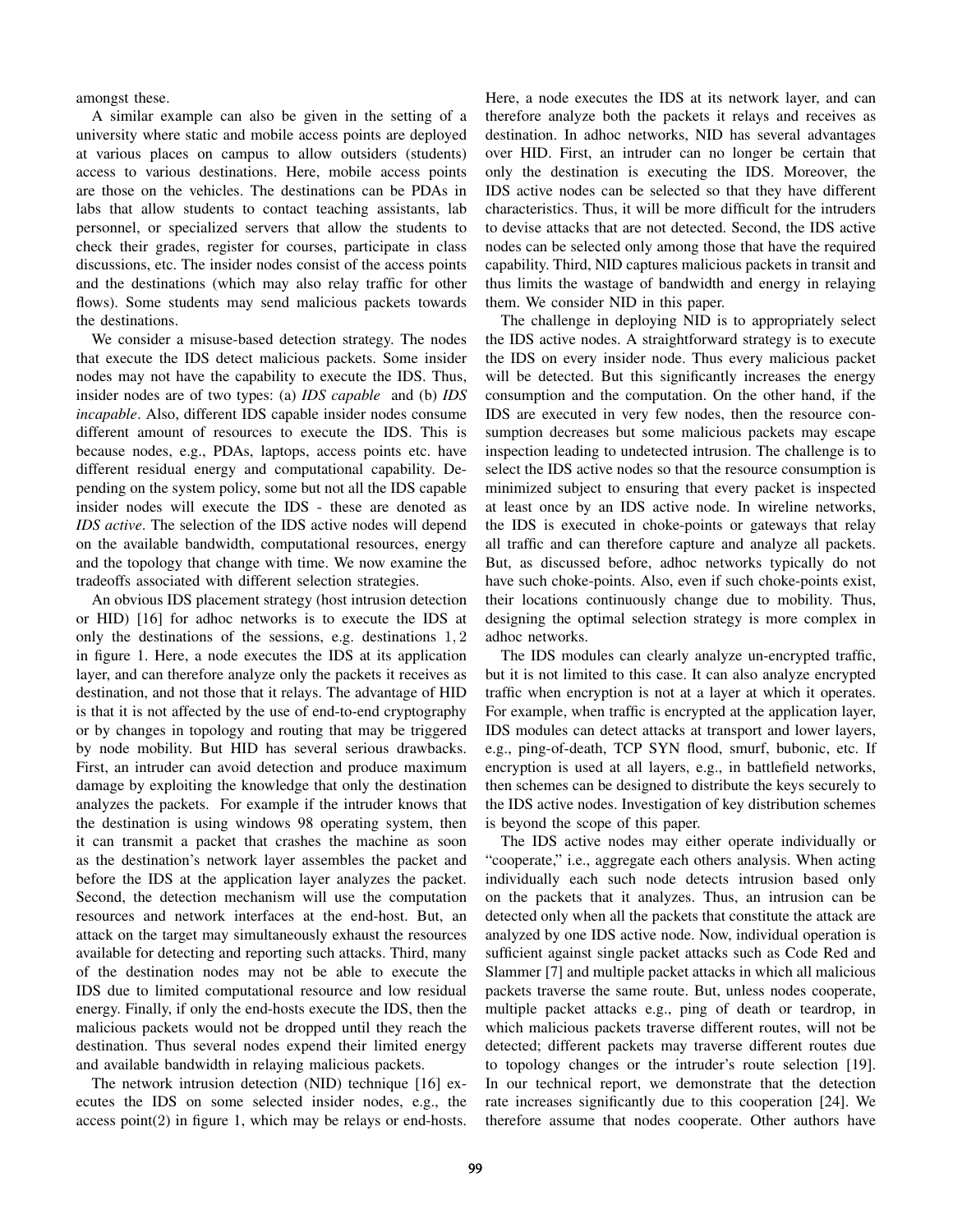amongst these.

A similar example can also be given in the setting of a university where static and mobile access points are deployed at various places on campus to allow outsiders (students) access to various destinations. Here, mobile access points are those on the vehicles. The destinations can be PDAs in labs that allow students to contact teaching assistants, lab personnel, or specialized servers that allow the students to check their grades, register for courses, participate in class discussions, etc. The insider nodes consist of the access points and the destinations (which may also relay traffic for other flows). Some students may send malicious packets towards the destinations.

We consider a misuse-based detection strategy. The nodes that execute the IDS detect malicious packets. Some insider nodes may not have the capability to execute the IDS. Thus, insider nodes are of two types: (a) *IDS capable* and (b) *IDS incapable*. Also, different IDS capable insider nodes consume different amount of resources to execute the IDS. This is because nodes, e.g., PDAs, laptops, access points etc. have different residual energy and computational capability. Depending on the system policy, some but not all the IDS capable insider nodes will execute the IDS - these are denoted as *IDS active*. The selection of the IDS active nodes will depend on the available bandwidth, computational resources, energy and the topology that change with time. We now examine the tradeoffs associated with different selection strategies.

An obvious IDS placement strategy (host intrusion detection or HID) [16] for adhoc networks is to execute the IDS at only the destinations of the sessions, e.g. destinations 1, 2 in figure 1. Here, a node executes the IDS at its application layer, and can therefore analyze only the packets it receives as destination, and not those that it relays. The advantage of HID is that it is not affected by the use of end-to-end cryptography or by changes in topology and routing that may be triggered by node mobility. But HID has several serious drawbacks. First, an intruder can avoid detection and produce maximum damage by exploiting the knowledge that only the destination analyzes the packets. For example if the intruder knows that the destination is using windows 98 operating system, then it can transmit a packet that crashes the machine as soon as the destination's network layer assembles the packet and before the IDS at the application layer analyzes the packet. Second, the detection mechanism will use the computation resources and network interfaces at the end-host. But, an attack on the target may simultaneously exhaust the resources available for detecting and reporting such attacks. Third, many of the destination nodes may not be able to execute the IDS due to limited computational resource and low residual energy. Finally, if only the end-hosts execute the IDS, then the malicious packets would not be dropped until they reach the destination. Thus several nodes expend their limited energy and available bandwidth in relaying malicious packets.

The network intrusion detection (NID) technique [16] executes the IDS on some selected insider nodes, e.g., the access point(2) in figure 1, which may be relays or end-hosts. Here, a node executes the IDS at its network layer, and can therefore analyze both the packets it relays and receives as destination. In adhoc networks, NID has several advantages over HID. First, an intruder can no longer be certain that only the destination is executing the IDS. Moreover, the IDS active nodes can be selected so that they have different characteristics. Thus, it will be more difficult for the intruders to devise attacks that are not detected. Second, the IDS active nodes can be selected only among those that have the required capability. Third, NID captures malicious packets in transit and thus limits the wastage of bandwidth and energy in relaying them. We consider NID in this paper.

The challenge in deploying NID is to appropriately select the IDS active nodes. A straightforward strategy is to execute the IDS on every insider node. Thus every malicious packet will be detected. But this significantly increases the energy consumption and the computation. On the other hand, if the IDS are executed in very few nodes, then the resource consumption decreases but some malicious packets may escape inspection leading to undetected intrusion. The challenge is to select the IDS active nodes so that the resource consumption is minimized subject to ensuring that every packet is inspected at least once by an IDS active node. In wireline networks, the IDS is executed in choke-points or gateways that relay all traffic and can therefore capture and analyze all packets. But, as discussed before, adhoc networks typically do not have such choke-points. Also, even if such choke-points exist, their locations continuously change due to mobility. Thus, designing the optimal selection strategy is more complex in adhoc networks.

The IDS modules can clearly analyze un-encrypted traffic, but it is not limited to this case. It can also analyze encrypted traffic when encryption is not at a layer at which it operates. For example, when traffic is encrypted at the application layer, IDS modules can detect attacks at transport and lower layers, e.g., ping-of-death, TCP SYN flood, smurf, bubonic, etc. If encryption is used at all layers, e.g., in battlefield networks, then schemes can be designed to distribute the keys securely to the IDS active nodes. Investigation of key distribution schemes is beyond the scope of this paper.

The IDS active nodes may either operate individually or "cooperate," i.e., aggregate each others analysis. When acting individually each such node detects intrusion based only on the packets that it analyzes. Thus, an intrusion can be detected only when all the packets that constitute the attack are analyzed by one IDS active node. Now, individual operation is sufficient against single packet attacks such as Code Red and Slammer [7] and multiple packet attacks in which all malicious packets traverse the same route. But, unless nodes cooperate, multiple packet attacks e.g., ping of death or teardrop, in which malicious packets traverse different routes, will not be detected; different packets may traverse different routes due to topology changes or the intruder's route selection [19]. In our technical report, we demonstrate that the detection rate increases significantly due to this cooperation [24]. We therefore assume that nodes cooperate. Other authors have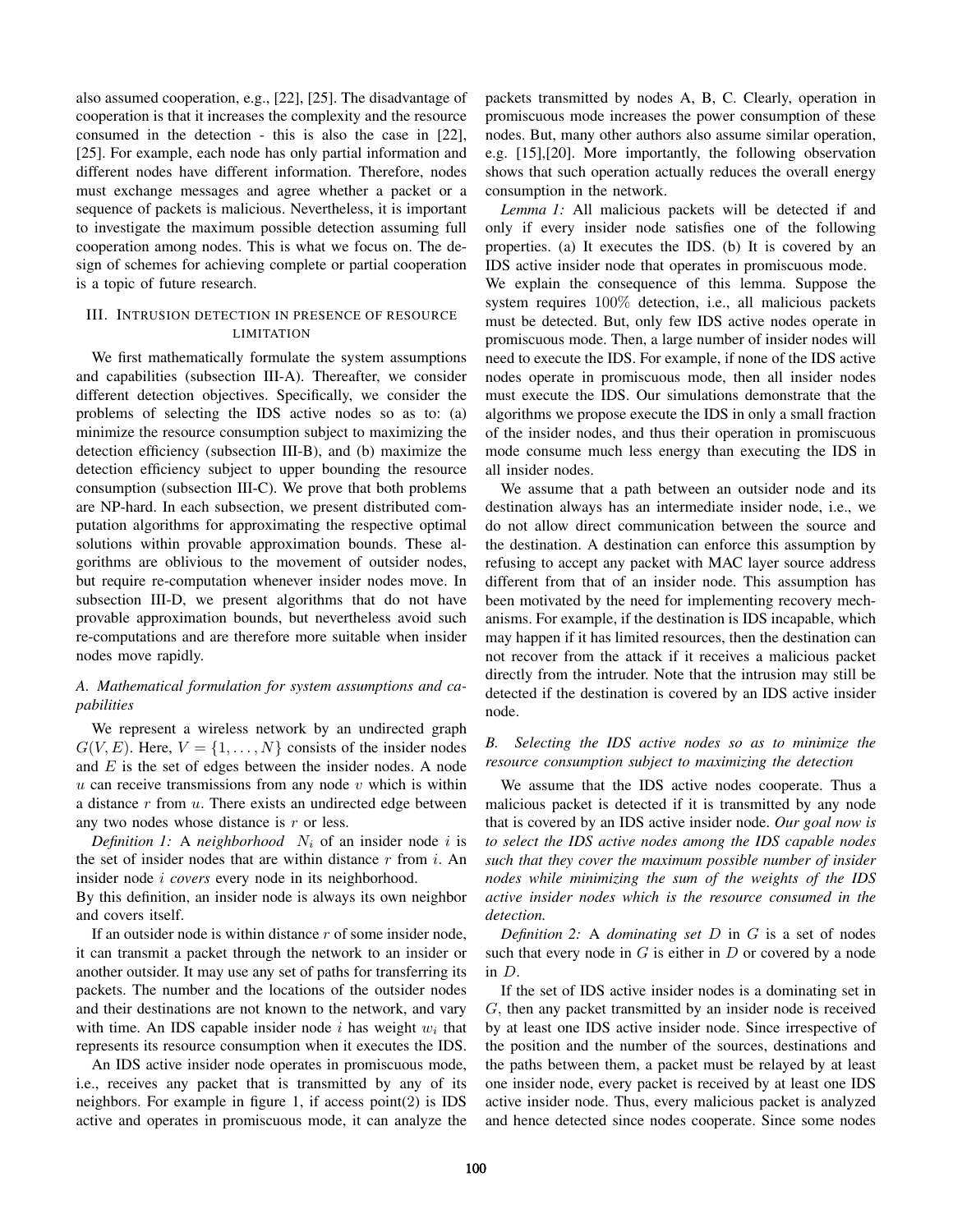also assumed cooperation, e.g., [22], [25]. The disadvantage of cooperation is that it increases the complexity and the resource consumed in the detection - this is also the case in [22], [25]. For example, each node has only partial information and different nodes have different information. Therefore, nodes must exchange messages and agree whether a packet or a sequence of packets is malicious. Nevertheless, it is important to investigate the maximum possible detection assuming full cooperation among nodes. This is what we focus on. The design of schemes for achieving complete or partial cooperation is a topic of future research.

#### III. INTRUSION DETECTION IN PRESENCE OF RESOURCE LIMITATION

We first mathematically formulate the system assumptions and capabilities (subsection III-A). Thereafter, we consider different detection objectives. Specifically, we consider the problems of selecting the IDS active nodes so as to: (a) minimize the resource consumption subject to maximizing the detection efficiency (subsection III-B), and (b) maximize the detection efficiency subject to upper bounding the resource consumption (subsection III-C). We prove that both problems are NP-hard. In each subsection, we present distributed computation algorithms for approximating the respective optimal solutions within provable approximation bounds. These algorithms are oblivious to the movement of outsider nodes, but require re-computation whenever insider nodes move. In subsection III-D, we present algorithms that do not have provable approximation bounds, but nevertheless avoid such re-computations and are therefore more suitable when insider nodes move rapidly.

#### *A. Mathematical formulation for system assumptions and capabilities*

We represent a wireless network by an undirected graph  $G(V, E)$ . Here,  $V = \{1, \ldots, N\}$  consists of the insider nodes and  $E$  is the set of edges between the insider nodes. A node  $u$  can receive transmissions from any node  $v$  which is within a distance  $r$  from  $u$ . There exists an undirected edge between any two nodes whose distance is  $r$  or less.

*Definition 1:* A *neighborhood*  $N_i$  of an insider node i is the set of insider nodes that are within distance  $r$  from  $i$ . An insider node i *covers* every node in its neighborhood.

By this definition, an insider node is always its own neighbor and covers itself.

If an outsider node is within distance  $r$  of some insider node, it can transmit a packet through the network to an insider or another outsider. It may use any set of paths for transferring its packets. The number and the locations of the outsider nodes and their destinations are not known to the network, and vary with time. An IDS capable insider node  $i$  has weight  $w_i$  that represents its resource consumption when it executes the IDS.

An IDS active insider node operates in promiscuous mode, i.e., receives any packet that is transmitted by any of its neighbors. For example in figure 1, if access point(2) is IDS active and operates in promiscuous mode, it can analyze the packets transmitted by nodes A, B, C. Clearly, operation in promiscuous mode increases the power consumption of these nodes. But, many other authors also assume similar operation, e.g. [15],[20]. More importantly, the following observation shows that such operation actually reduces the overall energy consumption in the network.

*Lemma 1:* All malicious packets will be detected if and only if every insider node satisfies one of the following properties. (a) It executes the IDS. (b) It is covered by an IDS active insider node that operates in promiscuous mode. We explain the consequence of this lemma. Suppose the system requires 100% detection, i.e., all malicious packets must be detected. But, only few IDS active nodes operate in promiscuous mode. Then, a large number of insider nodes will need to execute the IDS. For example, if none of the IDS active nodes operate in promiscuous mode, then all insider nodes must execute the IDS. Our simulations demonstrate that the algorithms we propose execute the IDS in only a small fraction of the insider nodes, and thus their operation in promiscuous mode consume much less energy than executing the IDS in all insider nodes.

We assume that a path between an outsider node and its destination always has an intermediate insider node, i.e., we do not allow direct communication between the source and the destination. A destination can enforce this assumption by refusing to accept any packet with MAC layer source address different from that of an insider node. This assumption has been motivated by the need for implementing recovery mechanisms. For example, if the destination is IDS incapable, which may happen if it has limited resources, then the destination can not recover from the attack if it receives a malicious packet directly from the intruder. Note that the intrusion may still be detected if the destination is covered by an IDS active insider node.

#### *B. Selecting the IDS active nodes so as to minimize the resource consumption subject to maximizing the detection*

We assume that the IDS active nodes cooperate. Thus a malicious packet is detected if it is transmitted by any node that is covered by an IDS active insider node. *Our goal now is to select the IDS active nodes among the IDS capable nodes such that they cover the maximum possible number of insider nodes while minimizing the sum of the weights of the IDS active insider nodes which is the resource consumed in the detection.*

*Definition 2:* A *dominating set* D in G is a set of nodes such that every node in  $G$  is either in  $D$  or covered by a node in D.

If the set of IDS active insider nodes is a dominating set in G, then any packet transmitted by an insider node is received by at least one IDS active insider node. Since irrespective of the position and the number of the sources, destinations and the paths between them, a packet must be relayed by at least one insider node, every packet is received by at least one IDS active insider node. Thus, every malicious packet is analyzed and hence detected since nodes cooperate. Since some nodes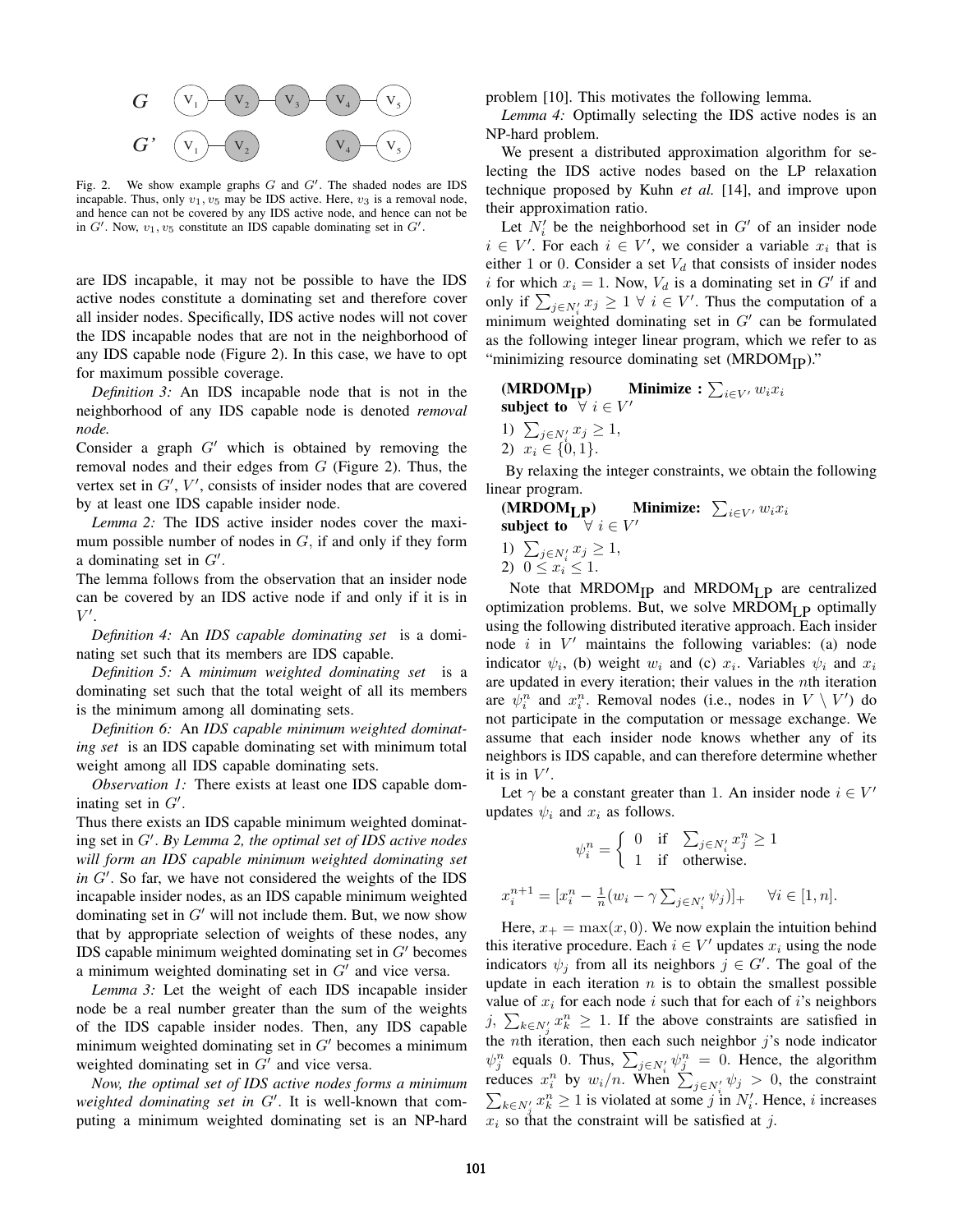

Fig. 2. We show example graphs  $G$  and  $G'$ . The shaded nodes are IDS incapable. Thus, only  $v_1, v_5$  may be IDS active. Here,  $v_3$  is a removal node, and hence can not be covered by any IDS active node, and hence can not be in  $G'$ . Now,  $v_1, v_5$  constitute an IDS capable dominating set in  $G'$ .

are IDS incapable, it may not be possible to have the IDS active nodes constitute a dominating set and therefore cover all insider nodes. Specifically, IDS active nodes will not cover the IDS incapable nodes that are not in the neighborhood of any IDS capable node (Figure 2). In this case, we have to opt for maximum possible coverage.

*Definition 3:* An IDS incapable node that is not in the neighborhood of any IDS capable node is denoted *removal node.*

Consider a graph  $G'$  which is obtained by removing the removal nodes and their edges from  $G$  (Figure 2). Thus, the vertex set in  $G'$ ,  $V'$ , consists of insider nodes that are covered by at least one IDS capable insider node.

*Lemma 2:* The IDS active insider nodes cover the maximum possible number of nodes in  $G$ , if and only if they form a dominating set in  $G'$ .

The lemma follows from the observation that an insider node can be covered by an IDS active node if and only if it is in  $V'.$ 

*Definition 4:* An *IDS capable dominating set* is a dominating set such that its members are IDS capable.

*Definition 5:* A *minimum weighted dominating set* is a dominating set such that the total weight of all its members is the minimum among all dominating sets.

*Definition 6:* An *IDS capable minimum weighted dominating set* is an IDS capable dominating set with minimum total weight among all IDS capable dominating sets.

*Observation 1:* There exists at least one IDS capable dominating set in  $G'$ .

Thus there exists an IDS capable minimum weighted dominating set in G'. By Lemma 2, the optimal set of IDS active nodes *will form an IDS capable minimum weighted dominating set* in  $G'$ . So far, we have not considered the weights of the IDS incapable insider nodes, as an IDS capable minimum weighted dominating set in  $G'$  will not include them. But, we now show that by appropriate selection of weights of these nodes, any IDS capable minimum weighted dominating set in  $G'$  becomes a minimum weighted dominating set in  $G'$  and vice versa.

*Lemma 3:* Let the weight of each IDS incapable insider node be a real number greater than the sum of the weights of the IDS capable insider nodes. Then, any IDS capable minimum weighted dominating set in  $G'$  becomes a minimum weighted dominating set in  $G'$  and vice versa.

*Now, the optimal set of IDS active nodes forms a minimum* weighted dominating set in  $G'$ . It is well-known that computing a minimum weighted dominating set is an NP-hard problem [10]. This motivates the following lemma.

*Lemma 4:* Optimally selecting the IDS active nodes is an NP-hard problem.

We present a distributed approximation algorithm for selecting the IDS active nodes based on the LP relaxation technique proposed by Kuhn *et al.* [14], and improve upon their approximation ratio.

Let  $N_i'$  be the neighborhood set in  $G'$  of an insider node  $i \in V'$ . For each  $i \in V'$ , we consider a variable  $x_i$  that is either 1 or 0. Consider a set  $V_d$  that consists of insider nodes i for which  $x_i = 1$ . Now,  $V_d$  is a dominating set in G' if and  $\text{only if } \sum_{x_i} x_i > 1 \forall i \in V'$ . Thus the computation of a only if  $\sum_{j \in N'_i} x_j \geq 1 \ \forall \ i \in V'$ . Thus the computation of a minimum weighted dominating set in  $G'$  can be formulated as the following integer linear program, which we refer to as "minimizing resource dominating set (MRDOM<sub>IP</sub>)."

 $(MRDOM_{IP})$  Minimize :  $\sum_{i\in V'} w_i x_i$ **subject to**  $\forall i \in V'$ 

1)  $\sum_{j \in N'_i} x_j \geq 1$ ,

2)  $x_i \in \{0, 1\}.$ <br>Presidentials the

By relaxing the integer constraints, we obtain the following linear program.

 $(MRDOM<sub>LP</sub>)$  Minimize:  $\sum_{i\in V'} w_i x_i$ **subject to**  $\forall i \in V'$ 

1) 
$$
\sum_{j \in N'_i} x_j \ge 1
$$
,  
2)  $0 \le x_i \le 1$ 

2) 
$$
0 \le x_i \le 1.
$$

Note that MRDOM<sub>IP</sub> and MRDOM<sub>LP</sub> are centralized optimization problems. But, we solve  $MRDOM<sub>L</sub>$  p optimally using the following distributed iterative approach. Each insider node  $i$  in  $V'$  maintains the following variables: (a) node indicator  $\psi_i$ , (b) weight  $w_i$  and (c)  $x_i$ . Variables  $\psi_i$  and  $x_i$ are updated in every iteration; their values in the nth iteration are  $\psi_i^n$  and  $x_i^n$ . Removal nodes (i.e., nodes in  $V \setminus V'$ ) do not participate in the computation or message exchange. We assume that each insider node knows whether any of its neighbors is IDS capable, and can therefore determine whether it is in  $V'$ .

Let  $\gamma$  be a constant greater than 1. An insider node  $i \in V'$  dates  $\psi_1$  and  $x_2$  as follows updates  $\psi_i$  and  $x_i$  as follows.

$$
\psi_i^n = \begin{cases} 0 & \text{if } \sum_{j \in N_i'} x_j^n \ge 1 \\ 1 & \text{if } \text{otherwise.} \end{cases}
$$

$$
x_i^{n+1} = [x_i^n - \frac{1}{n}(w_i - \gamma \sum_{j \in N_i'} \psi_j)]_+ \quad \forall i \in [1, n].
$$

Here,  $x_+ = \max(x, 0)$ . We now explain the intuition behind this iterative procedure. Each  $i \in V'$  updates  $x_i$  using the node indicators  $\psi_j$  from all its neighbors  $j \in G'$ . The goal of the update in each iteration  $n$  is to obtain the smallest possible value of  $x_i$  for each node  $i$  such that for each of  $i$ 's neighbors *j*,  $\sum_{k \in N'_j} x_k^n$  ≥ 1. If the above constraints are satisfied in the arth invariant then each such neighbor  $\hat{a}$  and indicator the *nth* iteration, then each such neighbor  $j$ 's node indicator  $\psi_j^n$  equals 0. Thus,  $\sum_{j \in N_i'} \psi_j^n = 0$ . Hence, the algorithm reduces  $x_i^n$  by  $w_i/n$ . When  $\sum_{j \in N'_i} \psi_j > 0$ , the constraint  $\sum_{k \in N'_i} x_k^n \ge 1$  is violated at some *j* in  $N'_i$ . Hence, *i* increases  $x_i$  so that the constraint will be satisfied at j.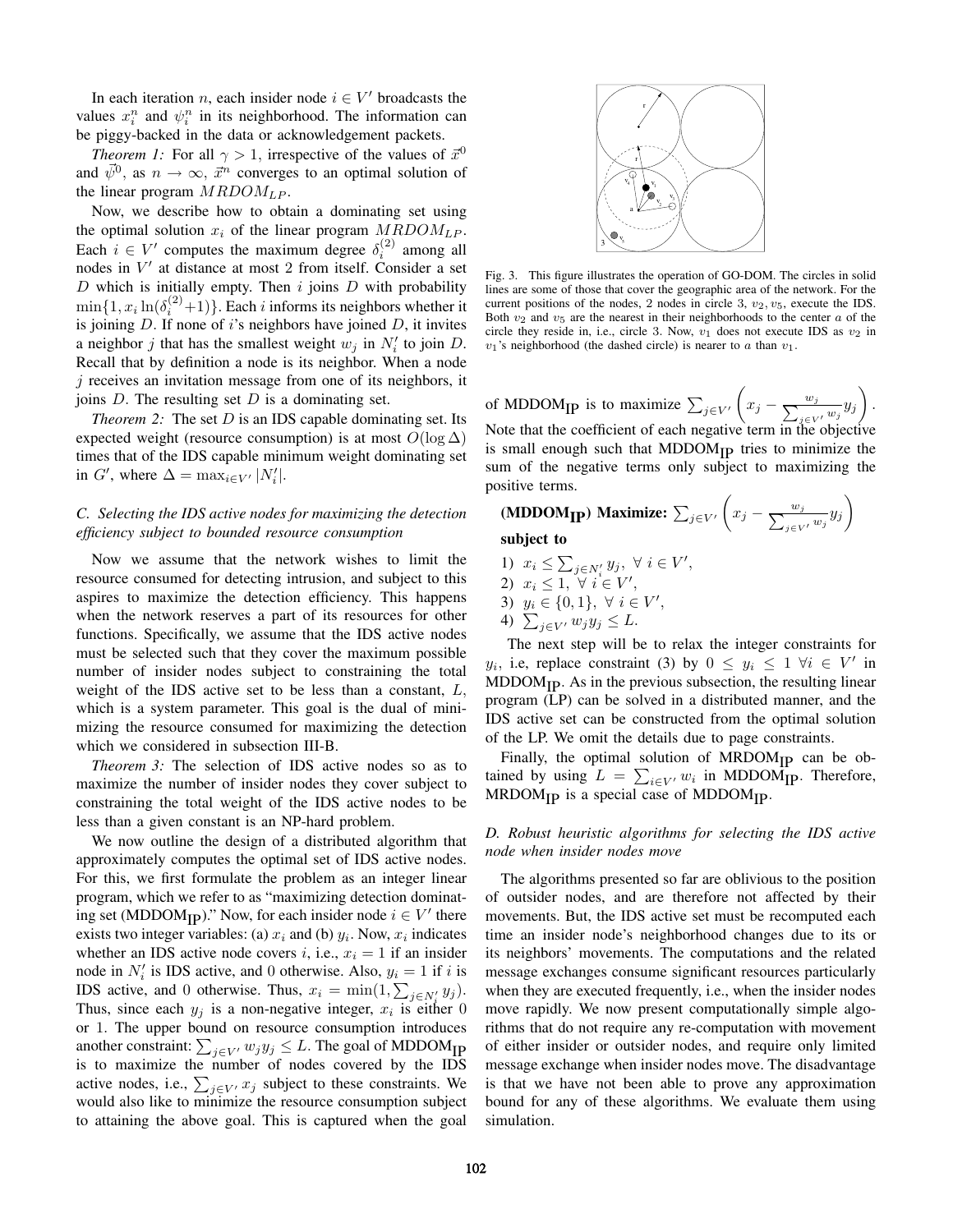In each iteration *n*, each insider node  $i \in V'$  broadcasts the values  $x_i^n$  and  $\psi_i^n$  in its neighborhood. The information can be piggy-backed in the data or acknowledgement packets.

*Theorem 1:* For all  $\gamma > 1$ , irrespective of the values of  $\vec{x}^0$ and  $\bar{\psi}^0$ , as  $n \to \infty$ ,  $\vec{x}^n$  converges to an optimal solution of the linear program MRDOM*LP* .

Now, we describe how to obtain a dominating set using the optimal solution  $x_i$  of the linear program  $MRDOM_{LP}$ . Each  $i \in V'$  computes the maximum degree  $\delta_i^{(2)}$  among all nodes in  $V'$  at distance at most 2 from itself. Consider a set  $D$  which is initially empty. Then i joins  $D$  with probability  $D$  which is initially empty. Then  $i$  joins  $D$  with probability  $\min\{1, x_i \ln(\delta_i^{(2)}+1)\}\)$ . Each *i* informs its neighbors whether it is joining D. If none of *i*'s neighbors have joined D, it invites is joining  $D$ . If none of i's neighbors have joined  $D$ , it invites a neighbor *j* that has the smallest weight  $w_j$  in  $N'_i$  to join *D*. Recall that by definition a node is its neighbor. When a node j receives an invitation message from one of its neighbors, it joins  $D$ . The resulting set  $D$  is a dominating set.

*Theorem 2:* The set *D* is an IDS capable dominating set. Its expected weight (resource consumption) is at most  $O(\log \Delta)$ times that of the IDS capable minimum weight dominating set in G', where  $\Delta = \max_{i \in V'} |N'_i|$ .

#### *C. Selecting the IDS active nodes for maximizing the detection efficiency subject to bounded resource consumption*

Now we assume that the network wishes to limit the resource consumed for detecting intrusion, and subject to this aspires to maximize the detection efficiency. This happens when the network reserves a part of its resources for other functions. Specifically, we assume that the IDS active nodes must be selected such that they cover the maximum possible number of insider nodes subject to constraining the total weight of the IDS active set to be less than a constant,  $L$ , which is a system parameter. This goal is the dual of minimizing the resource consumed for maximizing the detection which we considered in subsection III-B.

*Theorem 3:* The selection of IDS active nodes so as to maximize the number of insider nodes they cover subject to constraining the total weight of the IDS active nodes to be less than a given constant is an NP-hard problem.

We now outline the design of a distributed algorithm that approximately computes the optimal set of IDS active nodes. For this, we first formulate the problem as an integer linear program, which we refer to as "maximizing detection dominating set (MDDOM<sub>IP</sub>)." Now, for each insider node  $i \in V'$  there exists two integer variables: (a)  $x_i$  and (b)  $y_i$ . Now,  $x_i$  indicates whether an IDS active node covers i, i.e.,  $x_i = 1$  if an insider node in  $N_i'$  is IDS active, and 0 otherwise. Also,  $y_i = 1$  if i is<br>IDS active, and 0 otherwise. Thus  $x_i = \min(1, \sum_{i=1}^n y_i)$ **IDS** active, and 0 otherwise. Thus,  $x_i = \min(1, \sum_{j \in N'_i} y_j)$ .<br>Thus, since each  $y_i$  is a non-negative integer  $x_i$  is either 0 Thus, since each  $y_j$  is a non-negative integer,  $x_i$  is either 0<br>or 1. The upper bound on resource consumption introduces or 1. The upper bound on resource consumption introduces another constraint:  $\sum_{j \in V'} w_j y_j \leq L$ . The goal of MDDOM<sub>IP</sub> is to maximize the number of nodes covered by the IDS active nodes, i.e.,  $\sum_{j \in V'} x_j$  subject to these constraints. We would also like to minimize the resource consumption subject to attaining the above goal. This is captured when the goal



Fig. 3. This figure illustrates the operation of GO-DOM. The circles in solid lines are some of those that cover the geographic area of the network. For the current positions of the nodes, 2 nodes in circle 3,  $v_2$ ,  $v_5$ , execute the IDS. Both  $v_2$  and  $v_5$  are the nearest in their neighborhoods to the center *a* of the circle they reside in, i.e., circle 3. Now,  $v_1$  does not execute IDS as  $v_2$  in  $v_1$ 's neighborhood (the dashed circle) is nearer to *a* than  $v_1$ .

of MDDOM<sub>IP</sub> is to maximize  $\sum_{j \in V'}$  $\left(x_j - \frac{w_j}{\sum_{j \in V'} w_j} y_j\right).$ Note that the coefficient of each negative term in the objective is small enough such that  $MDDOM_{IP}$  tries to minimize the sum of the negative terms only subject to maximizing the positive terms.

#### $(MDDOM_{\text{IP}})$  Maximize:  $\sum_{j \in V'}$  $\left(x_j - \frac{w_j}{\sum_{j \in V'} w_j} y_j\right)$ **subject to**

1)  $x_i \le \sum_{j \in N'_i} y_j, \ \forall \ i \in V',$ 2)  $x_i \leq 1, \forall i \in V',$ <br>3)  $y_i \in I$  0 1  $\forall i \in$ 3)  $y_i \in \{0, 1\}, \forall i \in V',$ <br>4)  $\sum_{y_1, y_2 \leq L} y_i$ 4)  $\sum_{j \in V'} w_j y_j \leq L$ .

The next step will be to relax the integer constraints for  $y_i$ , i.e, replace constraint (3) by  $0 \le y_i \le 1 \ \forall i \in V'$  in<br>MDDOM<sub>LD</sub> As in the previous subsection, the resulting linear  $MDDOM<sub>IP</sub>$ . As in the previous subsection, the resulting linear program (LP) can be solved in a distributed manner, and the IDS active set can be constructed from the optimal solution of the LP. We omit the details due to page constraints.

Finally, the optimal solution of MRDOM<sub>IP</sub> can be obtained by using  $L = \sum_{i \in V'} w_i$  in MDDOM<sub>IP</sub>. Therefore,<br>MRDOM<sub>IP</sub> is a special case of MDDOM<sub>IP</sub>  $MRDOM_{IP}$  is a special case of  $MDDOM_{IP}$ .

#### *D. Robust heuristic algorithms for selecting the IDS active node when insider nodes move*

The algorithms presented so far are oblivious to the position of outsider nodes, and are therefore not affected by their movements. But, the IDS active set must be recomputed each time an insider node's neighborhood changes due to its or its neighbors' movements. The computations and the related message exchanges consume significant resources particularly when they are executed frequently, i.e., when the insider nodes move rapidly. We now present computationally simple algorithms that do not require any re-computation with movement of either insider or outsider nodes, and require only limited message exchange when insider nodes move. The disadvantage is that we have not been able to prove any approximation bound for any of these algorithms. We evaluate them using simulation.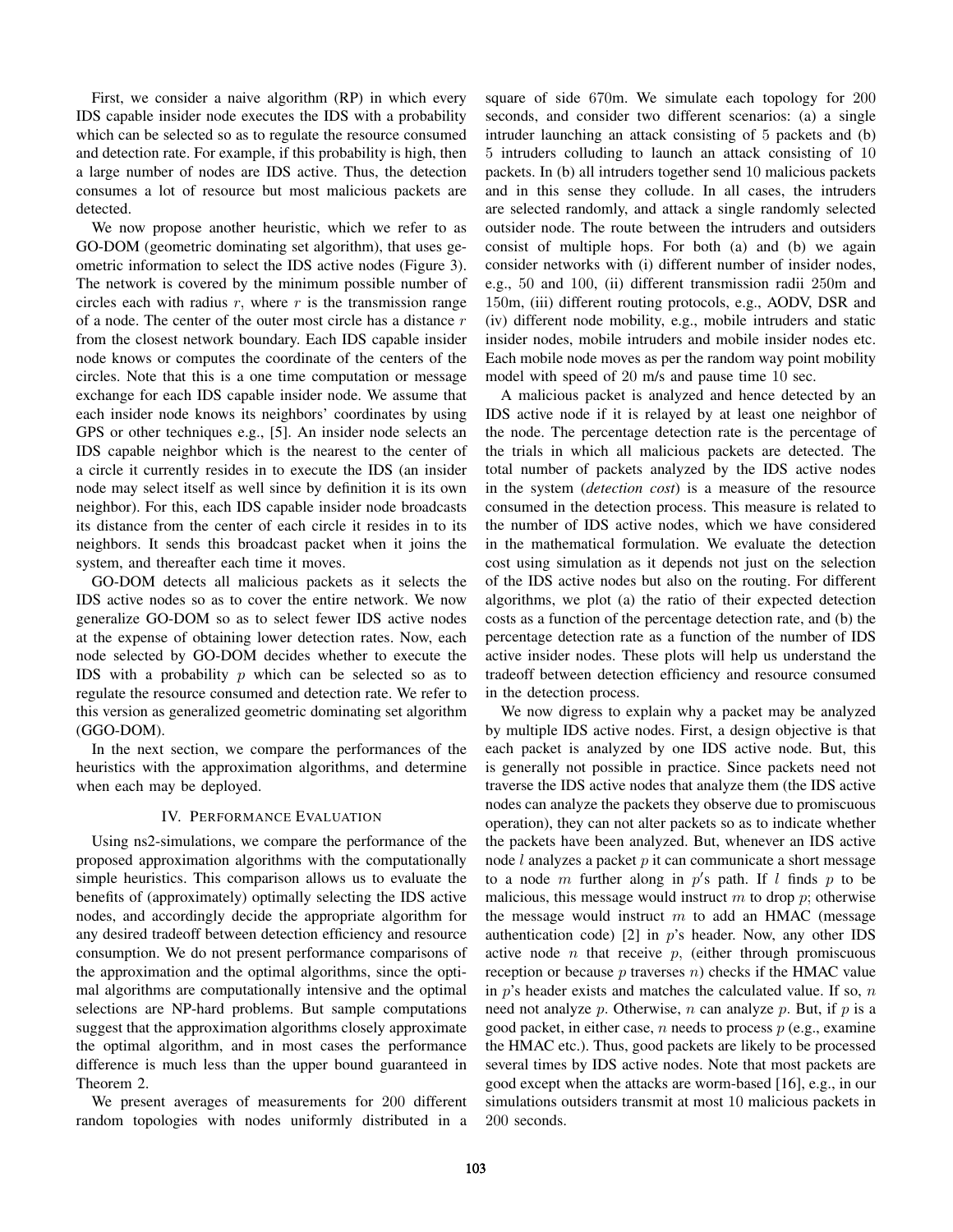First, we consider a naive algorithm (RP) in which every IDS capable insider node executes the IDS with a probability which can be selected so as to regulate the resource consumed and detection rate. For example, if this probability is high, then a large number of nodes are IDS active. Thus, the detection consumes a lot of resource but most malicious packets are detected.

We now propose another heuristic, which we refer to as GO-DOM (geometric dominating set algorithm), that uses geometric information to select the IDS active nodes (Figure 3). The network is covered by the minimum possible number of circles each with radius  $r$ , where  $r$  is the transmission range of a node. The center of the outer most circle has a distance  $r$ from the closest network boundary. Each IDS capable insider node knows or computes the coordinate of the centers of the circles. Note that this is a one time computation or message exchange for each IDS capable insider node. We assume that each insider node knows its neighbors' coordinates by using GPS or other techniques e.g., [5]. An insider node selects an IDS capable neighbor which is the nearest to the center of a circle it currently resides in to execute the IDS (an insider node may select itself as well since by definition it is its own neighbor). For this, each IDS capable insider node broadcasts its distance from the center of each circle it resides in to its neighbors. It sends this broadcast packet when it joins the system, and thereafter each time it moves.

GO-DOM detects all malicious packets as it selects the IDS active nodes so as to cover the entire network. We now generalize GO-DOM so as to select fewer IDS active nodes at the expense of obtaining lower detection rates. Now, each node selected by GO-DOM decides whether to execute the IDS with a probability  $p$  which can be selected so as to regulate the resource consumed and detection rate. We refer to this version as generalized geometric dominating set algorithm (GGO-DOM).

In the next section, we compare the performances of the heuristics with the approximation algorithms, and determine when each may be deployed.

#### IV. PERFORMANCE EVALUATION

Using ns2-simulations, we compare the performance of the proposed approximation algorithms with the computationally simple heuristics. This comparison allows us to evaluate the benefits of (approximately) optimally selecting the IDS active nodes, and accordingly decide the appropriate algorithm for any desired tradeoff between detection efficiency and resource consumption. We do not present performance comparisons of the approximation and the optimal algorithms, since the optimal algorithms are computationally intensive and the optimal selections are NP-hard problems. But sample computations suggest that the approximation algorithms closely approximate the optimal algorithm, and in most cases the performance difference is much less than the upper bound guaranteed in Theorem 2.

We present averages of measurements for 200 different random topologies with nodes uniformly distributed in a square of side 670m. We simulate each topology for 200 seconds, and consider two different scenarios: (a) a single intruder launching an attack consisting of 5 packets and (b) 5 intruders colluding to launch an attack consisting of 10 packets. In (b) all intruders together send 10 malicious packets and in this sense they collude. In all cases, the intruders are selected randomly, and attack a single randomly selected outsider node. The route between the intruders and outsiders consist of multiple hops. For both (a) and (b) we again consider networks with (i) different number of insider nodes, e.g., 50 and 100, (ii) different transmission radii 250m and 150m, (iii) different routing protocols, e.g., AODV, DSR and (iv) different node mobility, e.g., mobile intruders and static insider nodes, mobile intruders and mobile insider nodes etc. Each mobile node moves as per the random way point mobility model with speed of 20 m/s and pause time 10 sec.

A malicious packet is analyzed and hence detected by an IDS active node if it is relayed by at least one neighbor of the node. The percentage detection rate is the percentage of the trials in which all malicious packets are detected. The total number of packets analyzed by the IDS active nodes in the system (*detection cost*) is a measure of the resource consumed in the detection process. This measure is related to the number of IDS active nodes, which we have considered in the mathematical formulation. We evaluate the detection cost using simulation as it depends not just on the selection of the IDS active nodes but also on the routing. For different algorithms, we plot (a) the ratio of their expected detection costs as a function of the percentage detection rate, and (b) the percentage detection rate as a function of the number of IDS active insider nodes. These plots will help us understand the tradeoff between detection efficiency and resource consumed in the detection process.

We now digress to explain why a packet may be analyzed by multiple IDS active nodes. First, a design objective is that each packet is analyzed by one IDS active node. But, this is generally not possible in practice. Since packets need not traverse the IDS active nodes that analyze them (the IDS active nodes can analyze the packets they observe due to promiscuous operation), they can not alter packets so as to indicate whether the packets have been analyzed. But, whenever an IDS active node  $l$  analyzes a packet  $p$  it can communicate a short message to a node m further along in  $p$ 's path. If l finds p to be malicious, this message would instruct  $m$  to drop  $p$ ; otherwise the message would instruct  $m$  to add an HMAC (message authentication code) [2] in  $p$ 's header. Now, any other IDS active node  $n$  that receive  $p$ , (either through promiscuous reception or because  $p$  traverses  $n$ ) checks if the HMAC value in  $p$ 's header exists and matches the calculated value. If so,  $n$ need not analyze p. Otherwise, n can analyze p. But, if  $p$  is a good packet, in either case,  $n$  needs to process  $p$  (e.g., examine the HMAC etc.). Thus, good packets are likely to be processed several times by IDS active nodes. Note that most packets are good except when the attacks are worm-based [16], e.g., in our simulations outsiders transmit at most 10 malicious packets in 200 seconds.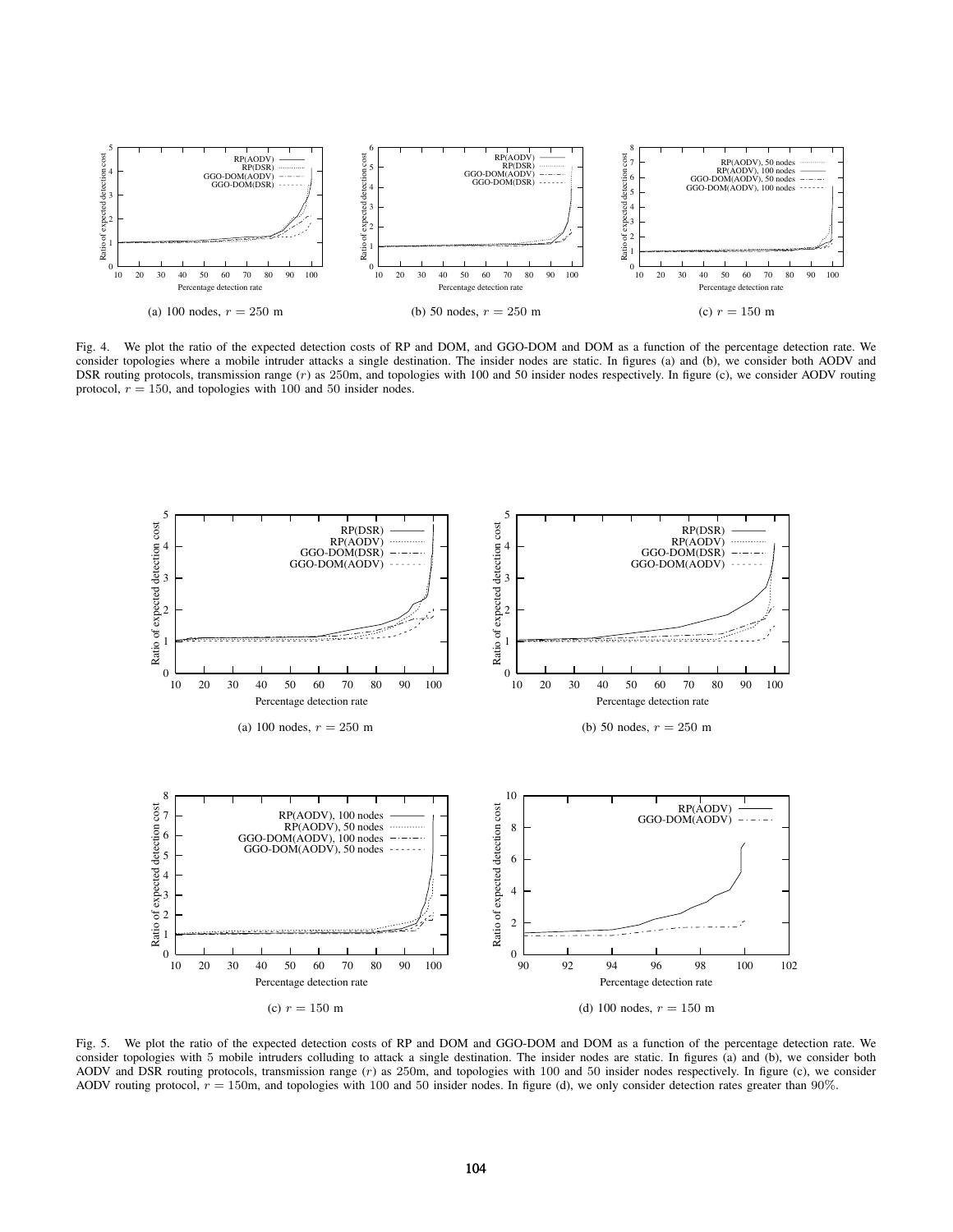

Fig. 4. We plot the ratio of the expected detection costs of RP and DOM, and GGO-DOM and DOM as a function of the percentage detection rate. We consider topologies where a mobile intruder attacks a single destination. The insider nodes are static. In figures (a) and (b), we consider both AODV and DSR routing protocols, transmission range (*r*) as 250m, and topologies with 100 and 50 insider nodes respectively. In figure (c), we consider AODV routing protocol,  $r = 150$ , and topologies with 100 and 50 insider nodes.



Fig. 5. We plot the ratio of the expected detection costs of RP and DOM and GGO-DOM and DOM as a function of the percentage detection rate. We consider topologies with 5 mobile intruders colluding to attack a single destination. The insider nodes are static. In figures (a) and (b), we consider both AODV and DSR routing protocols, transmission range (*r*) as 250m, and topologies with 100 and 50 insider nodes respectively. In figure (c), we consider AODV routing protocol,  $r = 150$ m, and topologies with 100 and 50 insider nodes. In figure (d), we only consider detection rates greater than 90%.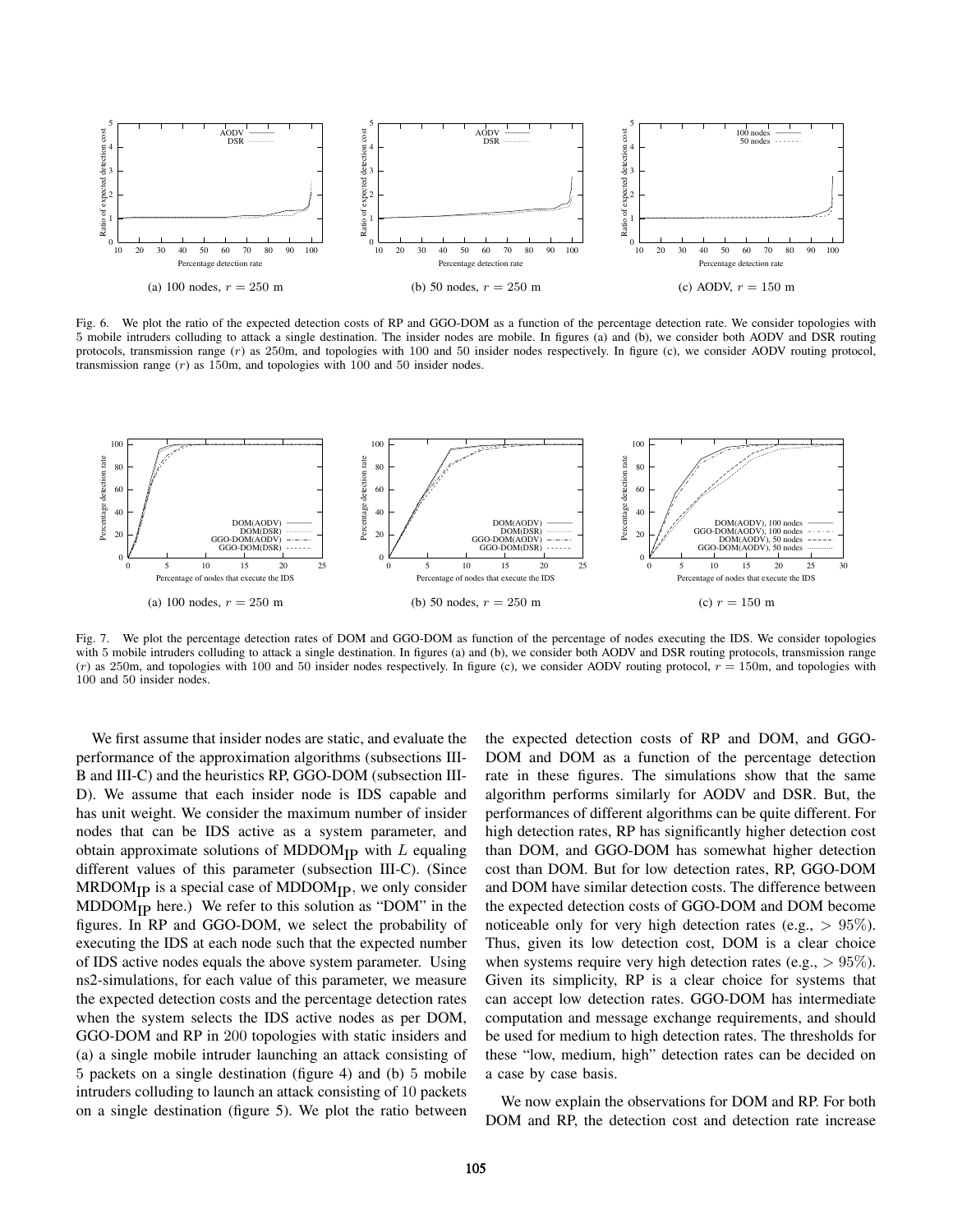

Fig. 6. We plot the ratio of the expected detection costs of RP and GGO-DOM as a function of the percentage detection rate. We consider topologies with 5 mobile intruders colluding to attack a single destination. The insider nodes are mobile. In figures (a) and (b), we consider both AODV and DSR routing protocols, transmission range (*r*) as 250m, and topologies with 100 and 50 insider nodes respectively. In figure (c), we consider AODV routing protocol, transmission range (*r*) as 150m, and topologies with 100 and 50 insider nodes.



Fig. 7. We plot the percentage detection rates of DOM and GGO-DOM as function of the percentage of nodes executing the IDS. We consider topologies with 5 mobile intruders colluding to attack a single destination. In figures (a) and (b), we consider both AODV and DSR routing protocols, transmission range  $(r)$  as 250m, and topologies with 100 and 50 insider nodes respectively. In figure (c), we consider AODV routing protocol,  $r = 150$ m, and topologies with 100 and 50 insider nodes.

We first assume that insider nodes are static, and evaluate the performance of the approximation algorithms (subsections III-B and III-C) and the heuristics RP, GGO-DOM (subsection III-D). We assume that each insider node is IDS capable and has unit weight. We consider the maximum number of insider nodes that can be IDS active as a system parameter, and obtain approximate solutions of MDDOM<sub>IP</sub> with  $L$  equaling different values of this parameter (subsection III-C). (Since  $MRDOM_{IP}$  is a special case of  $MDDOM_{IP}$ , we only consider  $MDDOM_{IP}$  here.) We refer to this solution as "DOM" in the figures. In RP and GGO-DOM, we select the probability of executing the IDS at each node such that the expected number of IDS active nodes equals the above system parameter. Using ns2-simulations, for each value of this parameter, we measure the expected detection costs and the percentage detection rates when the system selects the IDS active nodes as per DOM, GGO-DOM and RP in 200 topologies with static insiders and (a) a single mobile intruder launching an attack consisting of 5 packets on a single destination (figure 4) and (b) 5 mobile intruders colluding to launch an attack consisting of 10 packets on a single destination (figure 5). We plot the ratio between the expected detection costs of RP and DOM, and GGO-DOM and DOM as a function of the percentage detection rate in these figures. The simulations show that the same algorithm performs similarly for AODV and DSR. But, the performances of different algorithms can be quite different. For high detection rates, RP has significantly higher detection cost than DOM, and GGO-DOM has somewhat higher detection cost than DOM. But for low detection rates, RP, GGO-DOM and DOM have similar detection costs. The difference between the expected detection costs of GGO-DOM and DOM become noticeable only for very high detection rates (e.g.,  $> 95\%$ ). Thus, given its low detection cost, DOM is a clear choice when systems require very high detection rates (e.g.,  $> 95\%$ ). Given its simplicity, RP is a clear choice for systems that can accept low detection rates. GGO-DOM has intermediate computation and message exchange requirements, and should be used for medium to high detection rates. The thresholds for these "low, medium, high" detection rates can be decided on a case by case basis.

We now explain the observations for DOM and RP. For both DOM and RP, the detection cost and detection rate increase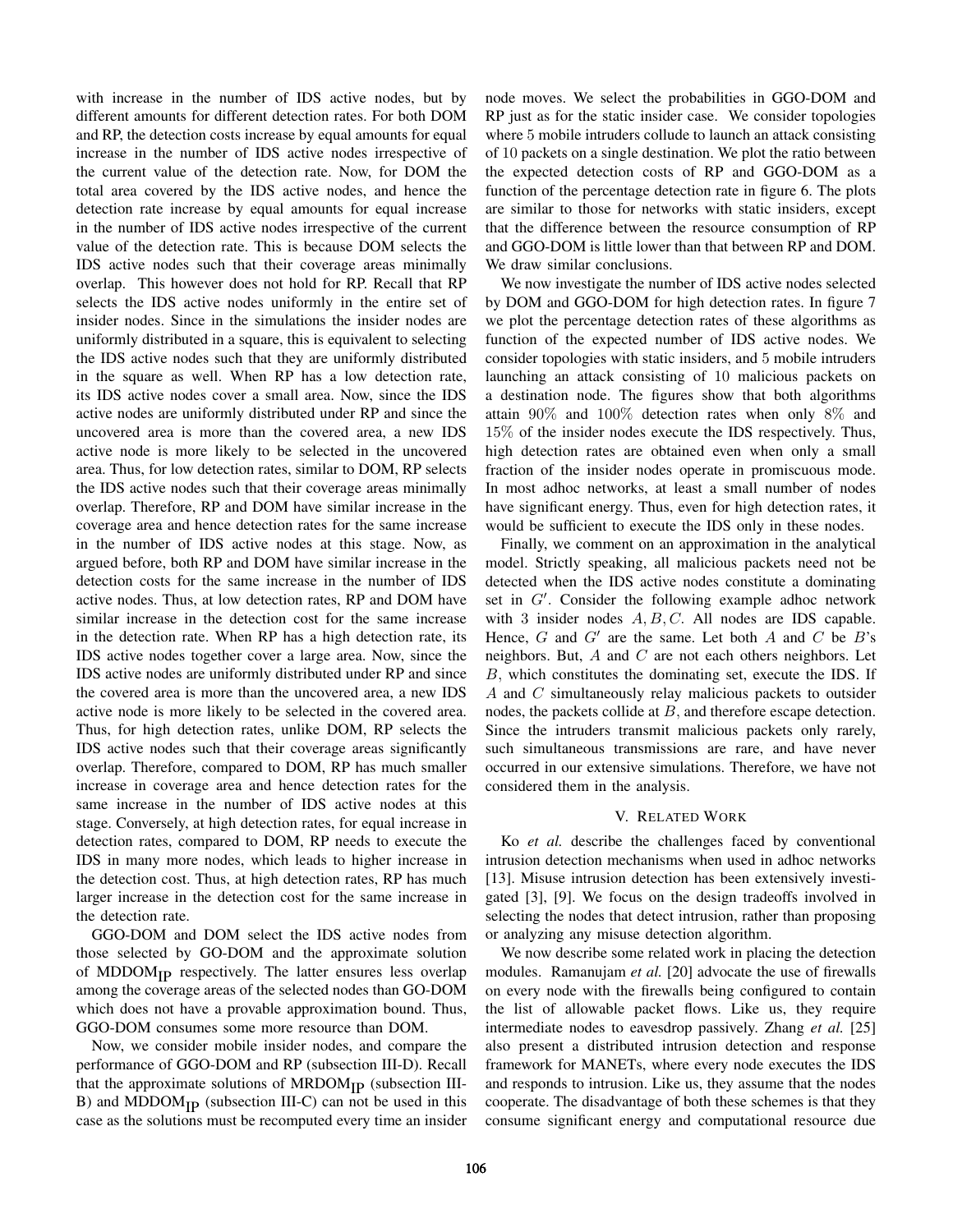with increase in the number of IDS active nodes, but by different amounts for different detection rates. For both DOM and RP, the detection costs increase by equal amounts for equal increase in the number of IDS active nodes irrespective of the current value of the detection rate. Now, for DOM the total area covered by the IDS active nodes, and hence the detection rate increase by equal amounts for equal increase in the number of IDS active nodes irrespective of the current value of the detection rate. This is because DOM selects the IDS active nodes such that their coverage areas minimally overlap. This however does not hold for RP. Recall that RP selects the IDS active nodes uniformly in the entire set of insider nodes. Since in the simulations the insider nodes are uniformly distributed in a square, this is equivalent to selecting the IDS active nodes such that they are uniformly distributed in the square as well. When RP has a low detection rate, its IDS active nodes cover a small area. Now, since the IDS active nodes are uniformly distributed under RP and since the uncovered area is more than the covered area, a new IDS active node is more likely to be selected in the uncovered area. Thus, for low detection rates, similar to DOM, RP selects the IDS active nodes such that their coverage areas minimally overlap. Therefore, RP and DOM have similar increase in the coverage area and hence detection rates for the same increase in the number of IDS active nodes at this stage. Now, as argued before, both RP and DOM have similar increase in the detection costs for the same increase in the number of IDS active nodes. Thus, at low detection rates, RP and DOM have similar increase in the detection cost for the same increase in the detection rate. When RP has a high detection rate, its IDS active nodes together cover a large area. Now, since the IDS active nodes are uniformly distributed under RP and since the covered area is more than the uncovered area, a new IDS active node is more likely to be selected in the covered area. Thus, for high detection rates, unlike DOM, RP selects the IDS active nodes such that their coverage areas significantly overlap. Therefore, compared to DOM, RP has much smaller increase in coverage area and hence detection rates for the same increase in the number of IDS active nodes at this stage. Conversely, at high detection rates, for equal increase in detection rates, compared to DOM, RP needs to execute the IDS in many more nodes, which leads to higher increase in the detection cost. Thus, at high detection rates, RP has much larger increase in the detection cost for the same increase in the detection rate.

GGO-DOM and DOM select the IDS active nodes from those selected by GO-DOM and the approximate solution of MDDOMIP respectively. The latter ensures less overlap among the coverage areas of the selected nodes than GO-DOM which does not have a provable approximation bound. Thus, GGO-DOM consumes some more resource than DOM.

Now, we consider mobile insider nodes, and compare the performance of GGO-DOM and RP (subsection III-D). Recall that the approximate solutions of  $MRDOM_{IP}$  (subsection III-B) and MDDOM<sub>IP</sub> (subsection III-C) can not be used in this case as the solutions must be recomputed every time an insider node moves. We select the probabilities in GGO-DOM and RP just as for the static insider case. We consider topologies where 5 mobile intruders collude to launch an attack consisting of 10 packets on a single destination. We plot the ratio between the expected detection costs of RP and GGO-DOM as a function of the percentage detection rate in figure 6. The plots are similar to those for networks with static insiders, except that the difference between the resource consumption of RP and GGO-DOM is little lower than that between RP and DOM. We draw similar conclusions.

We now investigate the number of IDS active nodes selected by DOM and GGO-DOM for high detection rates. In figure 7 we plot the percentage detection rates of these algorithms as function of the expected number of IDS active nodes. We consider topologies with static insiders, and 5 mobile intruders launching an attack consisting of 10 malicious packets on a destination node. The figures show that both algorithms attain 90% and 100% detection rates when only 8% and 15% of the insider nodes execute the IDS respectively. Thus, high detection rates are obtained even when only a small fraction of the insider nodes operate in promiscuous mode. In most adhoc networks, at least a small number of nodes have significant energy. Thus, even for high detection rates, it would be sufficient to execute the IDS only in these nodes.

Finally, we comment on an approximation in the analytical model. Strictly speaking, all malicious packets need not be detected when the IDS active nodes constitute a dominating set in  $G'$ . Consider the following example adhoc network with 3 insider nodes  $A, B, C$ . All nodes are IDS capable. Hence,  $G$  and  $G'$  are the same. Let both  $A$  and  $C$  be  $B$ 's neighbors. But,  $A$  and  $C$  are not each others neighbors. Let B, which constitutes the dominating set, execute the IDS. If A and C simultaneously relay malicious packets to outsider nodes, the packets collide at B, and therefore escape detection. Since the intruders transmit malicious packets only rarely, such simultaneous transmissions are rare, and have never occurred in our extensive simulations. Therefore, we have not considered them in the analysis.

#### V. RELATED WORK

Ko *et al.* describe the challenges faced by conventional intrusion detection mechanisms when used in adhoc networks [13]. Misuse intrusion detection has been extensively investigated [3], [9]. We focus on the design tradeoffs involved in selecting the nodes that detect intrusion, rather than proposing or analyzing any misuse detection algorithm.

We now describe some related work in placing the detection modules. Ramanujam *et al.* [20] advocate the use of firewalls on every node with the firewalls being configured to contain the list of allowable packet flows. Like us, they require intermediate nodes to eavesdrop passively. Zhang *et al.* [25] also present a distributed intrusion detection and response framework for MANETs, where every node executes the IDS and responds to intrusion. Like us, they assume that the nodes cooperate. The disadvantage of both these schemes is that they consume significant energy and computational resource due